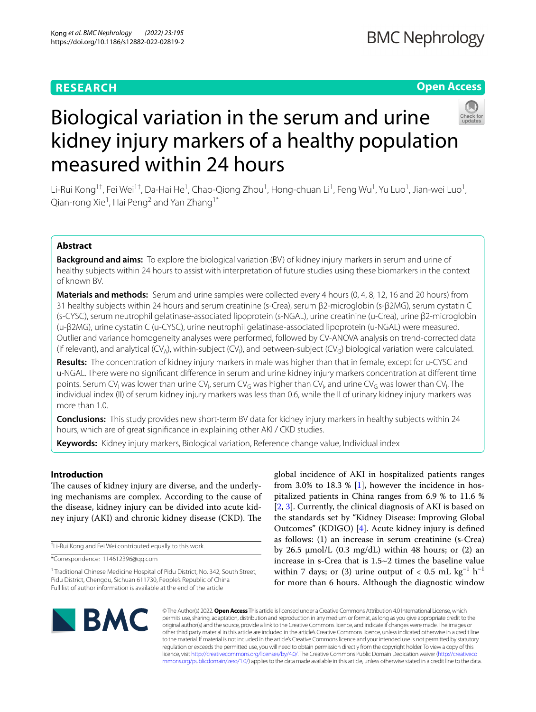# **RESEARCH**

# **Open Access**



# Biological variation in the serum and urine kidney injury markers of a healthy population measured within 24 hours

Li-Rui Kong<sup>1†</sup>, Fei Wei<sup>1†</sup>, Da-Hai He<sup>1</sup>, Chao-Qiong Zhou<sup>1</sup>, Hong-chuan Li<sup>1</sup>, Feng Wu<sup>1</sup>, Yu Luo<sup>1</sup>, Jian-wei Luo<sup>1</sup>, Qian-rong Xie<sup>1</sup>, Hai Peng<sup>2</sup> and Yan Zhang<sup>1\*</sup>

# **Abstract**

**Background and aims:** To explore the biological variation (BV) of kidney injury markers in serum and urine of healthy subjects within 24 hours to assist with interpretation of future studies using these biomarkers in the context of known BV.

**Materials and methods:** Serum and urine samples were collected every 4 hours (0, 4, 8, 12, 16 and 20 hours) from 31 healthy subjects within 24 hours and serum creatinine (s-Crea), serum β2-microglobin (s-β2MG), serum cystatin C (s-CYSC), serum neutrophil gelatinase-associated lipoprotein (s-NGAL), urine creatinine (u-Crea), urine β2-microglobin (u-β2MG), urine cystatin C (u-CYSC), urine neutrophil gelatinase-associated lipoprotein (u-NGAL) were measured. Outlier and variance homogeneity analyses were performed, followed by CV-ANOVA analysis on trend-corrected data (if relevant), and analytical (CV<sub>A</sub>), within-subject (CV<sub>I</sub>), and between-subject (CV<sub>G</sub>) biological variation were calculated.

**Results:** The concentration of kidney injury markers in male was higher than that in female, except for u-CYSC and u-NGAL. There were no signifcant diference in serum and urine kidney injury markers concentration at diferent time points. Serum CV<sub>I</sub> was lower than urine CV<sub>I</sub>, serum CV<sub>G</sub> was higher than CV<sub>I</sub>, and urine CV<sub>G</sub> was lower than CV<sub>I</sub>. The individual index (II) of serum kidney injury markers was less than 0.6, while the II of urinary kidney injury markers was more than 1.0.

**Conclusions:** This study provides new short-term BV data for kidney injury markers in healthy subjects within 24 hours, which are of great signifcance in explaining other AKI / CKD studies.

**Keywords:** Kidney injury markers, Biological variation, Reference change value, Individual index

# **Introduction**

The causes of kidney injury are diverse, and the underlying mechanisms are complex. According to the cause of the disease, kidney injury can be divided into acute kidney injury (AKI) and chronic kidney disease (CKD). The

† Li-Rui Kong and Fei Wei contributed equally to this work.

\*Correspondence: 114612396@qq.com

global incidence of AKI in hospitalized patients ranges from 3.0% to 18.3 % [[1\]](#page-6-0), however the incidence in hospitalized patients in China ranges from 6.9 % to 11.6 % [[2,](#page-6-1) [3\]](#page-6-2). Currently, the clinical diagnosis of AKI is based on the standards set by "Kidney Disease: Improving Global Outcomes" (KDIGO) [\[4](#page-6-3)]. Acute kidney injury is defned as follows: (1) an increase in serum creatinine (s-Crea) by 26.5  $\mu$ mol/L (0.3 mg/dL) within 48 hours; or (2) an increase in s-Crea that is 1.5~2 times the baseline value within 7 days; or (3) urine output of  $< 0.5$  mL kg<sup>-1</sup> h<sup>-1</sup> for more than 6 hours. Although the diagnostic window



© The Author(s) 2022. **Open Access** This article is licensed under a Creative Commons Attribution 4.0 International License, which permits use, sharing, adaptation, distribution and reproduction in any medium or format, as long as you give appropriate credit to the original author(s) and the source, provide a link to the Creative Commons licence, and indicate if changes were made. The images or other third party material in this article are included in the article's Creative Commons licence, unless indicated otherwise in a credit line to the material. If material is not included in the article's Creative Commons licence and your intended use is not permitted by statutory regulation or exceeds the permitted use, you will need to obtain permission directly from the copyright holder. To view a copy of this licence, visit [http://creativecommons.org/licenses/by/4.0/.](http://creativecommons.org/licenses/by/4.0/) The Creative Commons Public Domain Dedication waiver ([http://creativeco](http://creativecommons.org/publicdomain/zero/1.0/) [mmons.org/publicdomain/zero/1.0/](http://creativecommons.org/publicdomain/zero/1.0/)) applies to the data made available in this article, unless otherwise stated in a credit line to the data.

<sup>&</sup>lt;sup>1</sup> Traditional Chinese Medicine Hospital of Pidu District, No. 342, South Street, Pidu District, Chengdu, Sichuan 611730, People's Republic of China Full list of author information is available at the end of the article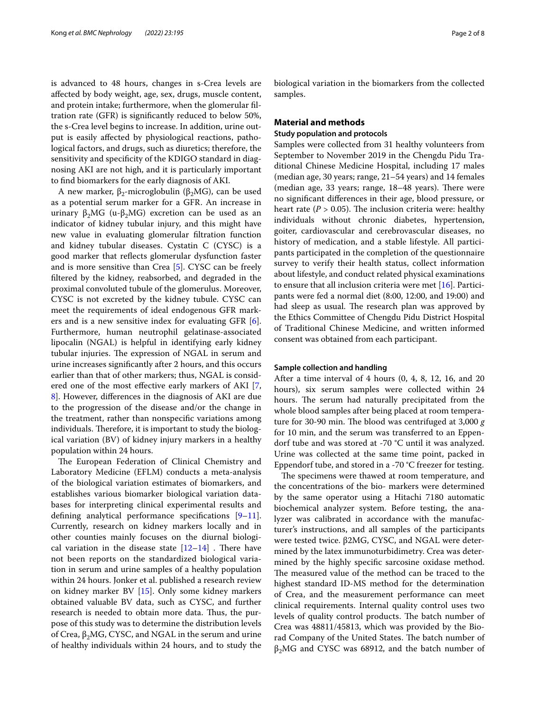is advanced to 48 hours, changes in s-Crea levels are afected by body weight, age, sex, drugs, muscle content, and protein intake; furthermore, when the glomerular fltration rate (GFR) is signifcantly reduced to below 50%, the s-Crea level begins to increase. In addition, urine output is easily afected by physiological reactions, pathological factors, and drugs, such as diuretics; therefore, the sensitivity and specificity of the KDIGO standard in diagnosing AKI are not high, and it is particularly important to fnd biomarkers for the early diagnosis of AKI.

A new marker,  $β_2$ -microglobulin ( $β_2MG$ ), can be used as a potential serum marker for a GFR. An increase in urinary β<sub>2</sub>MG (u-β<sub>2</sub>MG) excretion can be used as an indicator of kidney tubular injury, and this might have new value in evaluating glomerular fltration function and kidney tubular diseases. Cystatin C (CYSC) is a good marker that refects glomerular dysfunction faster and is more sensitive than Crea [\[5](#page-6-4)]. CYSC can be freely fltered by the kidney, reabsorbed, and degraded in the proximal convoluted tubule of the glomerulus. Moreover, CYSC is not excreted by the kidney tubule. CYSC can meet the requirements of ideal endogenous GFR markers and is a new sensitive index for evaluating GFR [\[6](#page-6-5)]. Furthermore, human neutrophil gelatinase-associated lipocalin (NGAL) is helpful in identifying early kidney tubular injuries. The expression of NGAL in serum and urine increases signifcantly after 2 hours, and this occurs earlier than that of other markers; thus, NGAL is considered one of the most efective early markers of AKI [\[7](#page-6-6), [8\]](#page-7-0). However, diferences in the diagnosis of AKI are due to the progression of the disease and/or the change in the treatment, rather than nonspecifc variations among individuals. Therefore, it is important to study the biological variation (BV) of kidney injury markers in a healthy population within 24 hours.

The European Federation of Clinical Chemistry and Laboratory Medicine (EFLM) conducts a meta-analysis of the biological variation estimates of biomarkers, and establishes various biomarker biological variation databases for interpreting clinical experimental results and defning analytical performance specifcations [\[9](#page-7-1)[–11](#page-7-2)]. Currently, research on kidney markers locally and in other counties mainly focuses on the diurnal biological variation in the disease state  $[12-14]$  $[12-14]$  . There have not been reports on the standardized biological variation in serum and urine samples of a healthy population within 24 hours. Jonker et al. published a research review on kidney marker BV [\[15](#page-7-5)]. Only some kidney markers obtained valuable BV data, such as CYSC, and further research is needed to obtain more data. Thus, the purpose of this study was to determine the distribution levels of Crea,  $β_2MG$ , CYSC, and NGAL in the serum and urine of healthy individuals within 24 hours, and to study the biological variation in the biomarkers from the collected samples.

## **Material and methods**

## **Study population and protocols**

Samples were collected from 31 healthy volunteers from September to November 2019 in the Chengdu Pidu Traditional Chinese Medicine Hospital, including 17 males (median age, 30 years; range, 21–54 years) and 14 females (median age,  $33$  years; range,  $18-48$  years). There were no signifcant diferences in their age, blood pressure, or heart rate ( $P > 0.05$ ). The inclusion criteria were: healthy individuals without chronic diabetes, hypertension, goiter, cardiovascular and cerebrovascular diseases, no history of medication, and a stable lifestyle. All participants participated in the completion of the questionnaire survey to verify their health status, collect information about lifestyle, and conduct related physical examinations to ensure that all inclusion criteria were met [[16](#page-7-6)]. Participants were fed a normal diet (8:00, 12:00, and 19:00) and had sleep as usual. The research plan was approved by the Ethics Committee of Chengdu Pidu District Hospital of Traditional Chinese Medicine, and written informed consent was obtained from each participant.

#### **Sample collection and handling**

After a time interval of 4 hours (0, 4, 8, 12, 16, and 20 hours), six serum samples were collected within 24 hours. The serum had naturally precipitated from the whole blood samples after being placed at room temperature for 30-90 min. The blood was centrifuged at 3,000 g for 10 min, and the serum was transferred to an Eppendorf tube and was stored at -70 °C until it was analyzed. Urine was collected at the same time point, packed in Eppendorf tube, and stored in a -70 °C freezer for testing.

The specimens were thawed at room temperature, and the concentrations of the bio- markers were determined by the same operator using a Hitachi 7180 automatic biochemical analyzer system. Before testing, the analyzer was calibrated in accordance with the manufacturer's instructions, and all samples of the participants were tested twice. β2MG, CYSC, and NGAL were determined by the latex immunoturbidimetry. Crea was determined by the highly specifc sarcosine oxidase method. The measured value of the method can be traced to the highest standard ID-MS method for the determination of Crea, and the measurement performance can meet clinical requirements. Internal quality control uses two levels of quality control products. The batch number of Crea was 48811/45813, which was provided by the Biorad Company of the United States. The batch number of  $β<sub>2</sub>MG$  and CYSC was 68912, and the batch number of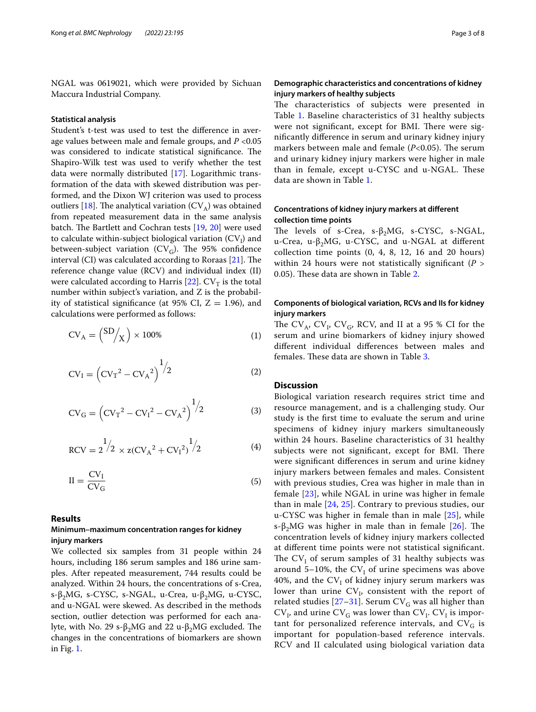NGAL was 0619021, which were provided by Sichuan Maccura Industrial Company.

#### **Statistical analysis**

Student's t-test was used to test the diference in average values between male and female groups, and *P* <0.05 was considered to indicate statistical significance. The Shapiro-Wilk test was used to verify whether the test data were normally distributed [\[17](#page-7-7)]. Logarithmic transformation of the data with skewed distribution was performed, and the Dixon WJ criterion was used to process outliers [\[18](#page-7-8)]. The analytical variation  $(CV_A)$  was obtained from repeated measurement data in the same analysis batch. The Bartlett and Cochran tests  $[19, 20]$  $[19, 20]$  $[19, 20]$  were used to calculate within-subject biological variation  $\left(\mathrm{CV}_\mathrm{I}\right)$  and between-subject variation (CV<sub>G</sub>). The 95% confidence interval (CI) was calculated according to Roraas  $[21]$  $[21]$  $[21]$ . The reference change value (RCV) and individual index (II) were calculated according to Harris [\[22](#page-7-12)].  $CV_T$  is the total number within subject's variation, and Z is the probability of statistical significance (at 95% CI,  $Z = 1.96$ ), and calculations were performed as follows:

$$
CV_A = \binom{SD}{X} \times 100\% \tag{1}
$$

$$
CV_{I} = (CV_{T}^{2} - CV_{A}^{2})^{\frac{1}{2}}
$$
 (2)

$$
CV_{G} = (CV_{T}^{2} - CV_{I}^{2} - CV_{A}^{2})^{1/2}
$$
 (3)

$$
RCV = 2^{1/2} \times z(CV_A^2 + CV_1^2)^{1/2}
$$
 (4)

$$
II = \frac{CV_I}{CV_G} \tag{5}
$$

## **Results**

# **Minimum–maximum concentration ranges for kidney injury markers**

We collected six samples from 31 people within 24 hours, including 186 serum samples and 186 urine samples. After repeated measurement, 744 results could be analyzed. Within 24 hours, the concentrations of s-Crea, s-β<sub>2</sub>MG, s-CYSC, s-NGAL, u-Crea, u-β<sub>2</sub>MG, u-CYSC, and u-NGAL were skewed. As described in the methods section, outlier detection was performed for each analyte, with No. 29 s-β<sub>2</sub>MG and 22 u-β<sub>2</sub>MG excluded. The changes in the concentrations of biomarkers are shown in Fig. [1](#page-3-0).

# **Demographic characteristics and concentrations of kidney injury markers of healthy subjects**

The characteristics of subjects were presented in Table [1](#page-4-0). Baseline characteristics of 31 healthy subjects were not significant, except for BMI. There were signifcantly diference in serum and urinary kidney injury markers between male and female  $(P<0.05)$ . The serum and urinary kidney injury markers were higher in male than in female, except u-CYSC and u-NGAL. These data are shown in Table [1.](#page-4-0)

# **Concentrations of kidney injury markers at diferent collection time points**

The levels of s-Crea,  $s-\beta_2 MG$ , s-CYSC, s-NGAL, u-Crea, u-β2MG, u-CYSC, and u-NGAL at diferent collection time points (0, 4, 8, 12, 16 and 20 hours) within 24 hours were not statistically signifcant (*P* > 0.05). These data are shown in Table [2](#page-4-1).

# **Components of biological variation, RCVs and IIs for kidney injury markers**

The  $CV_A$ ,  $CV_I$ ,  $CV_G$ , RCV, and II at a 95 % CI for the serum and urine biomarkers of kidney injury showed diferent individual diferences between males and females. These data are shown in Table [3](#page-5-0).

## **Discussion**

Biological variation research requires strict time and resource management, and is a challenging study. Our study is the frst time to evaluate the serum and urine specimens of kidney injury markers simultaneously within 24 hours. Baseline characteristics of 31 healthy subjects were not significant, except for BMI. There were signifcant diferences in serum and urine kidney injury markers between females and males. Consistent with previous studies, Crea was higher in male than in female [[23\]](#page-7-13), while NGAL in urine was higher in female than in male [[24](#page-7-14), [25](#page-7-15)]. Contrary to previous studies, our u-CYSC was higher in female than in male [[25\]](#page-7-15), while s-β<sub>2</sub>MG was higher in male than in female [[26](#page-7-16)]. The concentration levels of kidney injury markers collected at diferent time points were not statistical signifcant. The  $CV_{I}$  of serum samples of 31 healthy subjects was around 5–10%, the  $CV_I$  of urine specimens was above 40%, and the  $CV_{I}$  of kidney injury serum markers was lower than urine  $CV<sub>I</sub>$ , consistent with the report of related studies [[27–](#page-7-17)[31](#page-7-18)]. Serum  $CV_G$  was all higher than  $CV_{I}$ , and urine  $CV_{G}$  was lower than  $CV_{I}$ .  $CV_{I}$  is important for personalized reference intervals, and  $CV<sub>G</sub>$  is important for population-based reference intervals. RCV and II calculated using biological variation data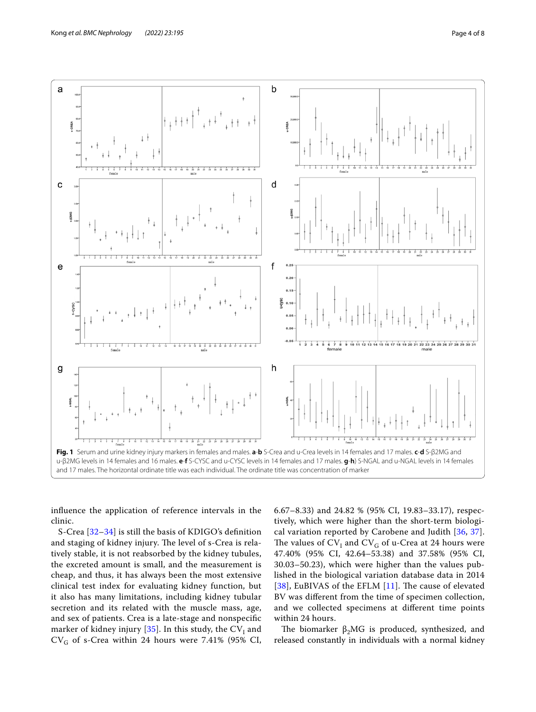

<span id="page-3-0"></span>infuence the application of reference intervals in the clinic.

S-Crea [[32–](#page-7-19)[34\]](#page-7-20) is still the basis of KDIGO's defnition and staging of kidney injury. The level of s-Crea is relatively stable, it is not reabsorbed by the kidney tubules, the excreted amount is small, and the measurement is cheap, and thus, it has always been the most extensive clinical test index for evaluating kidney function, but it also has many limitations, including kidney tubular secretion and its related with the muscle mass, age, and sex of patients. Crea is a late-stage and nonspecifc marker of kidney injury [ $35$ ]. In this study, the  $\mathrm{CV}_\mathrm{I}$  and  $CV<sub>G</sub>$  of s-Crea within 24 hours were 7.41% (95% CI,

6.67–8.33) and 24.82 % (95% CI, 19.83–33.17), respectively, which were higher than the short-term biological variation reported by Carobene and Judith [\[36,](#page-7-22) [37](#page-7-23)]. The values of  $CV_{I}$  and  $CV_{G}$  of u-Crea at 24 hours were 47.40% (95% CI, 42.64–53.38) and 37.58% (95% CI, 30.03–50.23), which were higher than the values published in the biological variation database data in 2014 [[38](#page-7-24)], EuBIVAS of the EFLM  $[11]$  $[11]$  $[11]$ . The cause of elevated BV was diferent from the time of specimen collection, and we collected specimens at diferent time points within 24 hours.

The biomarker  $\beta_2 MG$  is produced, synthesized, and released constantly in individuals with a normal kidney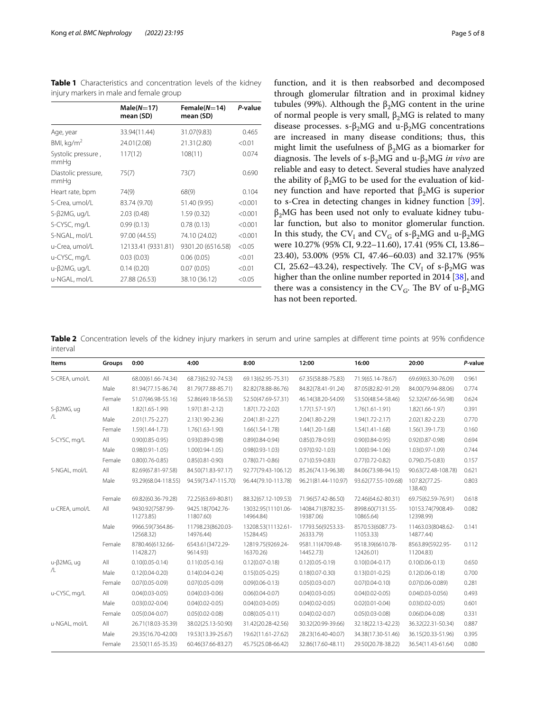|                             | $Male(N=17)$<br>mean (SD) | Female $(N=14)$<br>mean (SD) | P-value |
|-----------------------------|---------------------------|------------------------------|---------|
| Age, year                   | 33.94(11.44)              | 31.07(9.83)                  | 0.465   |
| BMI, $kg/m2$                | 24.01(2.08)               | 21.31(2.80)                  | < 0.01  |
| Systolic pressure,<br>mmHq  | 117(12)                   | 108(11)                      | 0.074   |
| Diastolic pressure,<br>mmHq | 75(7)                     | 73(7)                        | 0.690   |
| Heart rate, bpm             | 74(9)                     | 68(9)                        | 0.104   |
| S-Crea, umol/L              | 83.74 (9.70)              | 51.40 (9.95)                 | < 0.001 |
| S-β2MG, ug/L                | 2.03(0.48)                | 1.59(0.32)                   | < 0.001 |
| S-CYSC, mg/L                | 0.99(0.13)                | 0.78(0.13)                   | < 0.001 |
| S-NGAL, mol/L               | 97.00 (44.55)             | 74.10 (24.02)                | < 0.001 |
| u-Crea, umol/L              | 12133.41 (9331.81)        | 9301.20 (6516.58)            | < 0.05  |
| u-CYSC, mg/L                | 0.03(0.03)                | 0.06(0.05)                   | < 0.01  |
| u-β2MG, ug/L                | 0.14(0.20)                | 0.07(0.05)                   | < 0.01  |
| u-NGAL, mol/L               | 27.88 (26.53)             | 38.10 (36.12)                | < 0.05  |
|                             |                           |                              |         |

<span id="page-4-0"></span>**Table 1** Characteristics and concentration levels of the kidney injury markers in male and female group

function, and it is then reabsorbed and decomposed through glomerular fltration and in proximal kidney tubules (99%). Although the  $β_2MG$  content in the urine of normal people is very small,  $β_2MG$  is related to many disease processes. s- $\beta_2 MG$  and u- $\beta_2 MG$  concentrations are increased in many disease conditions; thus, this might limit the usefulness of  $β_2MG$  as a biomarker for diagnosis. The levels of s-β<sub>2</sub>MG and u-β<sub>2</sub>MG *in vivo* are reliable and easy to detect. Several studies have analyzed the ability of  $β_2MG$  to be used for the evaluation of kidney function and have reported that  $β_2MG$  is superior to s-Crea in detecting changes in kidney function [\[39](#page-7-25)].  $β_2MG$  has been used not only to evaluate kidney tubular function, but also to monitor glomerular function. In this study, the CV<sub>I</sub> and CV<sub>G</sub> of s- $\beta_2$ MG and u- $\beta_2$ MG were 10.27% (95% CI, 9.22–11.60), 17.41 (95% CI, 13.86– 23.40), 53.00% (95% CI, 47.46–60.03) and 32.17% (95% CI, 25.62–43.24), respectively. The  $CV_I$  of s- $\beta_2 MG$  was higher than the online number reported in 2014 [[38\]](#page-7-24), and there was a consistency in the CV<sub>G</sub>. The BV of u- $\beta_2 MG$ has not been reported.

<span id="page-4-1"></span>**Table 2** Concentration levels of the kidney injury markers in serum and urine samples at different time points at 95% confidence interval

| Items                       | Groups | 0:00                          | 4:00                           | 8:00                            | 12:00                          | 16:00                         | 20:00                          | P-value |
|-----------------------------|--------|-------------------------------|--------------------------------|---------------------------------|--------------------------------|-------------------------------|--------------------------------|---------|
| S-CREA, umol/L              | All    | 68.00(61.66-74.34)            | 68.73(62.92-74.53)             | 69.13(62.95-75.31)              | 67.35(58.88-75.83)             | 71.9(65.14-78.67)             | 69.69(63.30-76.09)             | 0.961   |
|                             | Male   | 81.94(77.15-86.74)            | 81.79(77.88-85.71)             | 82.82(78.88-86.76)              | 84.82(78.41-91.24)             | 87.05(82.82-91.29)            | 84.00(79.94-88.06)             | 0.774   |
|                             | Female | 51.07(46.98-55.16)            | 52.86(49.18-56.53)             | 52.50(47.69-57.31)              | 46.14(38.20-54.09)             | 53.50(48.54-58.46)            | 52.32(47.66-56.98)             | 0.624   |
| S-β2MG, ug<br>/L            | All    | 1.82(1.65-1.99)               | $1.97(1.81 - 2.12)$            | $1.87(1.72 - 2.02)$             | $1.77(1.57-1.97)$              | $1.76(1.61 - 1.91)$           | 1.82(1.66-1.97)                | 0.391   |
|                             | Male   | $2.01(1.75 - 2.27)$           | 2.13(1.90-2.36)                | $2.04(1.81 - 2.27)$             | 2.04(1.80-2.29)                | $1.94(1.72 - 2.17)$           | 2.02(1.82-2.23)                | 0.770   |
|                             | Female | 1.59(1.44-1.73)               | 1.76(1.63-1.90)                | $1.66(1.54 - 1.78)$             | $1.44(1.20-1.68)$              | $1.54(1.41 - 1.68)$           | $1.56(1.39-1.73)$              | 0.160   |
| S-CYSC, mg/L                | All    | $0.90(0.85 - 0.95)$           | $0.93(0.89 - 0.98)$            | $0.89(0.84 - 0.94)$             | $0.85(0.78 - 0.93)$            | $0.90(0.84 - 0.95)$           | $0.92(0.87 - 0.98)$            | 0.694   |
|                             | Male   | $0.98(0.91 - 1.05)$           | $1.00(0.94 - 1.05)$            | $0.98(0.93 - 1.03)$             | $0.97(0.92 - 1.03)$            | $1.00(0.94 - 1.06)$           | 1.03(0.97-1.09)                | 0.744   |
|                             | Female | $0.80(0.76 - 0.85)$           | $0.85(0.81 - 0.90)$            | $0.78(0.71 - 0.86)$             | $0.71(0.59 - 0.83)$            | $0.77(0.72 - 0.82)$           | $0.79(0.75 - 0.83)$            | 0.157   |
| S-NGAL, mol/L               | All    | 82.69(67.81-97.58)            | 84.50(71.83-97.17)             | 92.77(79.43-106.12)             | 85.26(74.13-96.38)             | 84.06(73.98-94.15)            | 90.63(72.48-108.78)            | 0.621   |
|                             | Male   | 93.29(68.04-118.55)           | 94.59(73.47-115.70)            | 96.44(79.10-113.78)             | 96.21(81.44-110.97)            | 93.62(77.55-109.68)           | 107.82(77.25-<br>138.40)       | 0.803   |
|                             | Female | 69.82(60.36-79.28)            | 72.25(63.69-80.81)             | 88.32(67.12-109.53)             | 71.96(57.42-86.50)             | 72.46(64.62-80.31)            | 69.75(62.59-76.91)             | 0.618   |
| u-CREA, umol/L              | All    | 9430.92(7587.99-<br>11273.85) | 9425.18(7042.76-<br>11807.60)  | 13032.95(11101.06-<br>14964.84) | 14084.71(8782.35-<br>19387.06) | 8998.60(7131.55-<br>10865.64) | 10153.74(7908.49-<br>12398.99) | 0.082   |
|                             | Male   | 9966.59(7364.86-<br>12568.32) | 11798.23(8620.03-<br>14976.44) | 13208.53(11132.61-<br>15284.45) | 17793.56(9253.33-<br>26333.79) | 8570.53(6087.73-<br>11053.33) | 11463.03(8048.62-<br>14877.44) | 0.141   |
|                             | Female | 8780.46(6132.66-<br>11428.27) | 6543.61(3472.29-<br>9614.93)   | 12819.75(9269.24-<br>16370.26)  | 9581.11(4709.48-<br>14452.73)  | 9518.39(6610.78-<br>12426.01) | 8563.89(5922.95-<br>11204.83)  | 0.112   |
| $u$ - $\beta$ 2MG, ug<br>/L | All    | $0.10(0.05 - 0.14)$           | $0.11(0.05 - 0.16)$            | $0.12(0.07 - 0.18)$             | $0.12(0.05 - 0.19)$            | $0.10(0.04 - 0.17)$           | $0.10(0.06 - 0.13)$            | 0.650   |
|                             | Male   | $0.12(0.04 - 0.20)$           | $0.14(0.04 - 0.24)$            | $0.15(0.05 - 0.25)$             | $0.18(0.07 - 0.30)$            | $0.13(0.01 - 0.25)$           | $0.12(0.06 - 0.18)$            | 0.700   |
|                             | Female | $0.07(0.05 - 0.09)$           | $0.07(0.05 - 0.09)$            | $0.09(0.06 - 0.13)$             | $0.05(0.03 - 0.07)$            | $0.07(0.04 - 0.10)$           | $0.07(0.06 - 0.089)$           | 0.281   |
| u-CYSC, mg/L                | All    | $0.04(0.03 - 0.05)$           | $0.04(0.03 - 0.06)$            | $0.06(0.04 - 0.07)$             | $0.04(0.03 - 0.05)$            | $0.04(0.02 - 0.05)$           | $0.04(0.03 - 0.056)$           | 0.493   |
|                             | Male   | $0.03(0.02 - 0.04)$           | $0.04(0.02 - 0.05)$            | $0.04(0.03 - 0.05)$             | $0.04(0.02 - 0.05)$            | $0.02(0.01 - 0.04)$           | $0.03(0.02 - 0.05)$            | 0.601   |
|                             | Female | $0.05(0.04 - 0.07)$           | $0.05(0.02 - 0.08)$            | $0.08(0.05 - 0.11)$             | $0.04(0.02 - 0.07)$            | $0.05(0.03 - 0.08)$           | $0.06(0.04 - 0.08)$            | 0.331   |
| u-NGAL, mol/L               | All    | 26.71(18.03-35.39)            | 38.02(25.13-50.90)             | 31.42(20.28-42.56)              | 30.32(20.99-39.66)             | 32.18(22.13-42.23)            | 36.32(22.31-50.34)             | 0.887   |
|                             | Male   | 29.35(16.70-42.00)            | 19.53(13.39-25.67)             | 19.62(11.61-27.62)              | 28.23(16.40-40.07)             | 34.38(17.30-51.46)            | 36.15(20.33-51.96)             | 0.395   |
|                             | Female | 23.50(11.65-35.35)            | 60.46(37.66-83.27)             | 45.75(25.08-66.42)              | 32.86(17.60-48.11)             | 29.50(20.78-38.22)            | 36.54(11.43-61.64)             | 0.080   |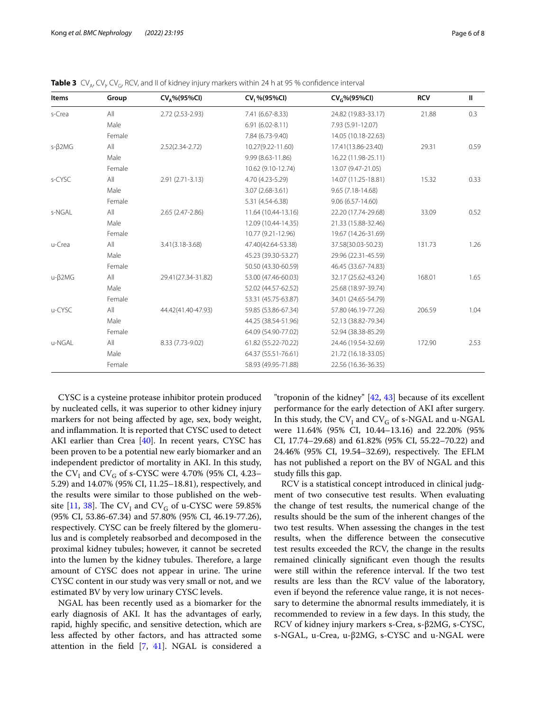| Items         | Group  | $CV_A\%$ (95%CI)    | CV <sub>1</sub> %(95%CI) | CV <sub>c</sub> %(95%Cl) | <b>RCV</b> | $\mathbf{I}$ |
|---------------|--------|---------------------|--------------------------|--------------------------|------------|--------------|
| s-Crea        | All    | 2.72 (2.53-2.93)    | 7.41 (6.67-8.33)         | 24.82 (19.83-33.17)      | 21.88      | 0.3          |
|               | Male   |                     | $6.91(6.02 - 8.11)$      | 7.93 (5.91-12.07)        |            |              |
|               | Female |                     | 7.84 (6.73-9.40)         | 14.05 (10.18-22.63)      |            |              |
| $s-\beta$ 2MG | All    | $2.52(2.34-2.72)$   | 10.27(9.22-11.60)        | 17.41(13.86-23.40)       | 29.31      | 0.59         |
|               | Male   |                     | 9.99 (8.63-11.86)        | 16.22 (11.98-25.11)      |            |              |
|               | Female |                     | 10.62 (9.10-12.74)       | 13.07 (9.47-21.05)       |            |              |
| s-CYSC        | All    | 2.91 (2.71-3.13)    | 4.70 (4.23-5.29)         | 14.07 (11.25-18.81)      | 15.32      | 0.33         |
|               | Male   |                     | 3.07 (2.68-3.61)         | 9.65 (7.18-14.68)        |            |              |
|               | Female |                     | 5.31 (4.54-6.38)         | $9.06(6.57 - 14.60)$     |            |              |
| s-NGAL        | All    | 2.65 (2.47-2.86)    | 11.64 (10.44-13.16)      | 22.20 (17.74-29.68)      | 33.09      | 0.52         |
|               | Male   |                     | 12.09 (10.44-14.35)      | 21.33 (15.88-32.46)      |            |              |
|               | Female |                     | 10.77 (9.21-12.96)       | 19.67 (14.26-31.69)      |            |              |
| u-Crea        | All    | $3.41(3.18 - 3.68)$ | 47.40(42.64-53.38)       | 37.58(30.03-50.23)       | 131.73     | 1.26         |
|               | Male   |                     | 45.23 (39.30-53.27)      | 29.96 (22.31-45.59)      |            |              |
|               | Female |                     | 50.50 (43.30-60.59)      | 46.45 (33.67-74.83)      |            |              |
| $u-\beta$ 2MG | All    | 29.41(27.34-31.82)  | 53.00 (47.46-60.03)      | 32.17 (25.62-43.24)      | 168.01     | 1.65         |
|               | Male   |                     | 52.02 (44.57-62.52)      | 25.68 (18.97-39.74)      |            |              |
|               | Female |                     | 53.31 (45.75-63.87)      | 34.01 (24.65-54.79)      |            |              |
| u-CYSC        | All    | 44.42(41.40-47.93)  | 59.85 (53.86-67.34)      | 57.80 (46.19-77.26)      | 206.59     | 1.04         |
|               | Male   |                     | 44.25 (38.54-51.96)      | 52.13 (38.82-79.34)      |            |              |
|               | Female |                     | 64.09 (54.90-77.02)      | 52.94 (38.38-85.29)      |            |              |
| u-NGAL        | All    | 8.33 (7.73-9.02)    | 61.82 (55.22-70.22)      | 24.46 (19.54-32.69)      | 172.90     | 2.53         |
|               | Male   |                     | 64.37 (55.51-76.61)      | 21.72 (16.18-33.05)      |            |              |
|               | Female |                     | 58.93 (49.95-71.88)      | 22.56 (16.36-36.35)      |            |              |

<span id="page-5-0"></span>**Table 3**  $\text{CV}_{\text{A}}$ , CV<sub>I</sub>, CV<sub>G</sub>, RCV, and II of kidney injury markers within 24 h at 95 % confidence interval

CYSC is a cysteine protease inhibitor protein produced by nucleated cells, it was superior to other kidney injury markers for not being afected by age, sex, body weight, and infammation. It is reported that CYSC used to detect AKI earlier than Crea [[40](#page-7-26)]. In recent years, CYSC has been proven to be a potential new early biomarker and an independent predictor of mortality in AKI. In this study, the  $CV_{\text{I}}$  and  $CV_{\text{G}}$  of s-CYSC were 4.70% (95% CI, 4.23– 5.29) and 14.07% (95% CI, 11.25–18.81), respectively, and the results were similar to those published on the web-site [\[11](#page-7-2), [38](#page-7-24)]. The  $CV_{I}$  and  $CV_{G}$  of u-CYSC were 59.85% (95% CI, 53.86-67.34) and 57.80% (95% CI, 46.19-77.26), respectively. CYSC can be freely fltered by the glomerulus and is completely reabsorbed and decomposed in the proximal kidney tubules; however, it cannot be secreted into the lumen by the kidney tubules. Therefore, a large amount of CYSC does not appear in urine. The urine CYSC content in our study was very small or not, and we estimated BV by very low urinary CYSC levels.

NGAL has been recently used as a biomarker for the early diagnosis of AKI. It has the advantages of early, rapid, highly specifc, and sensitive detection, which are less afected by other factors, and has attracted some attention in the field  $[7, 41]$  $[7, 41]$  $[7, 41]$  $[7, 41]$  $[7, 41]$ . NGAL is considered a

"troponin of the kidney" [[42](#page-7-28), [43\]](#page-7-29) because of its excellent performance for the early detection of AKI after surgery. In this study, the  $CV_{I}$  and  $CV_{G}$  of s-NGAL and u-NGAL were 11.64% (95% CI, 10.44–13.16) and 22.20% (95% CI, 17.74–29.68) and 61.82% (95% CI, 55.22–70.22) and 24.46% (95% CI, 19.54–32.69), respectively. The EFLM has not published a report on the BV of NGAL and this study flls this gap.

RCV is a statistical concept introduced in clinical judgment of two consecutive test results. When evaluating the change of test results, the numerical change of the results should be the sum of the inherent changes of the two test results. When assessing the changes in the test results, when the diference between the consecutive test results exceeded the RCV, the change in the results remained clinically signifcant even though the results were still within the reference interval. If the two test results are less than the RCV value of the laboratory, even if beyond the reference value range, it is not necessary to determine the abnormal results immediately, it is recommended to review in a few days. In this study, the RCV of kidney injury markers s-Crea, s-β2MG, s-CYSC, s-NGAL, u-Crea, u-β2MG, s-CYSC and u-NGAL were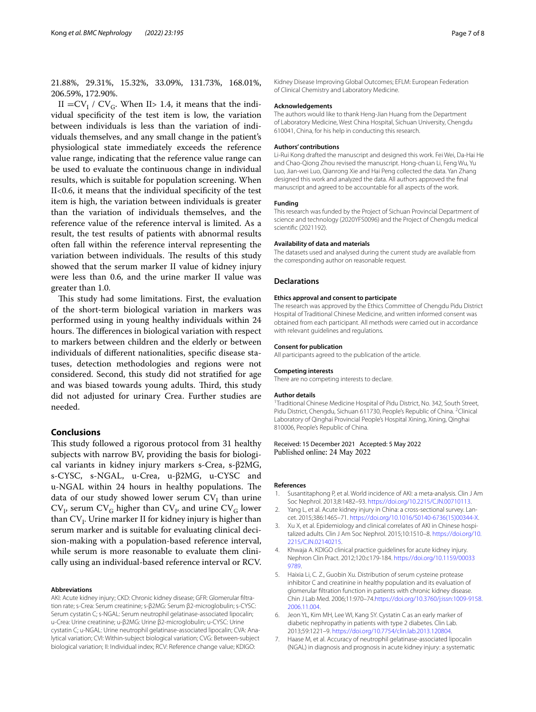21.88%, 29.31%, 15.32%, 33.09%, 131.73%, 168.01%, 206.59%, 172.90%.

 $II = CV_I / CV_G$ . When II> 1.4, it means that the individual specifcity of the test item is low, the variation between individuals is less than the variation of individuals themselves, and any small change in the patient's physiological state immediately exceeds the reference value range, indicating that the reference value range can be used to evaluate the continuous change in individual results, which is suitable for population screening. When II<0.6, it means that the individual specifcity of the test item is high, the variation between individuals is greater than the variation of individuals themselves, and the reference value of the reference interval is limited. As a result, the test results of patients with abnormal results often fall within the reference interval representing the variation between individuals. The results of this study showed that the serum marker II value of kidney injury were less than 0.6, and the urine marker II value was greater than 1.0.

This study had some limitations. First, the evaluation of the short-term biological variation in markers was performed using in young healthy individuals within 24 hours. The differences in biological variation with respect to markers between children and the elderly or between individuals of diferent nationalities, specifc disease statuses, detection methodologies and regions were not considered. Second, this study did not stratifed for age and was biased towards young adults. Third, this study did not adjusted for urinary Crea. Further studies are needed.

## **Conclusions**

This study followed a rigorous protocol from 31 healthy subjects with narrow BV, providing the basis for biological variants in kidney injury markers s-Crea, s-β2MG, s-CYSC, s-NGAL, u-Crea, u-β2MG, u-CYSC and u-NGAL within 24 hours in healthy populations. The data of our study showed lower serum  $\mathrm{CV}_\mathrm{I}$  than urine  $CV_{I}$ , serum  $CV_{G}$  higher than  $CV_{I}$ , and urine  $CV_{G}$  lower than  $\mathrm{CV}_\mathrm{I}\text{.}$  Urine marker II for kidney injury is higher than serum marker and is suitable for evaluating clinical decision-making with a population-based reference interval, while serum is more reasonable to evaluate them clinically using an individual-based reference interval or RCV.

#### **Abbreviations**

AKI: Acute kidney injury; CKD: Chronic kidney disease; GFR: Glomerular filtration rate; s-Crea: Serum creatinine; s-β2MG: Serum β2-microglobulin; s-CYSC: Serum cystatin C; s-NGAL: Serum neutrophil gelatinase-associated lipocalin; u-Crea: Urine creatinine; u-β2MG: Urine β2-microglobulin; u-CYSC: Urine cystatin C; u-NGAL: Urine neutrophil gelatinase-associated lipocalin; CVA: Analytical variation; CVI: Within-subject biological variation; CVG: Between-subject biological variation; II: Individual index; RCV: Reference change value; KDIGO:

Kidney Disease Improving Global Outcomes; EFLM: European Federation of Clinical Chemistry and Laboratory Medicine.

### **Acknowledgements**

The authors would like to thank Heng-Jian Huang from the Department of Laboratory Medicine, West China Hospital, Sichuan University, Chengdu 610041, China, for his help in conducting this research.

#### **Authors' contributions**

Li-Rui Kong drafted the manuscript and designed this work. Fei Wei, Da-Hai He and Chao-Qiong Zhou revised the manuscript. Hong-chuan Li, Feng Wu, Yu Luo, Jian-wei Luo, Qianrong Xie and Hai Peng collected the data. Yan Zhang designed this work and analyzed the data. All authors approved the fnal manuscript and agreed to be accountable for all aspects of the work.

#### **Funding**

This research was funded by the Project of Sichuan Provincial Department of science and technology (2020YFS0096) and the Project of Chengdu medical scientifc (2021192).

## **Availability of data and materials**

The datasets used and analysed during the current study are available from the corresponding author on reasonable request.

#### **Declarations**

#### **Ethics approval and consent to participate**

The research was approved by the Ethics Committee of Chengdu Pidu District Hospital of Traditional Chinese Medicine, and written informed consent was obtained from each participant. All methods were carried out in accordance with relevant guidelines and regulations.

#### **Consent for publication**

All participants agreed to the publication of the article.

#### **Competing interests**

There are no competing interests to declare.

#### **Author details**

<sup>1</sup> Traditional Chinese Medicine Hospital of Pidu District, No. 342, South Street, Pidu District, Chengdu, Sichuan 611730, People's Republic of China. <sup>2</sup> Clinical Laboratory of Qinghai Provincial People's Hospital Xining, Xining, Qinghai 810006, People's Republic of China.

### Received: 15 December 2021 Accepted: 5 May 2022 Published online: 24 May 2022

#### **References**

- <span id="page-6-0"></span>1. Susantitaphong P, et al. World incidence of AKI: a meta-analysis. Clin J Am Soc Nephrol. 2013;8:1482–93. <https://doi.org/10.2215/CJN.00710113>.
- <span id="page-6-1"></span>2. Yang L, et al. Acute kidney injury in China: a cross-sectional survey. Lancet. 2015;386:1465–71. [https://doi.org/10.1016/S0140-6736\(15\)00344-X](https://doi.org/10.1016/S0140-6736(15)00344-X).
- <span id="page-6-2"></span>3. Xu X, et al. Epidemiology and clinical correlates of AKI in Chinese hospitalized adults. Clin J Am Soc Nephrol. 2015;10:1510–8. [https://doi.org/10.](https://doi.org/10.2215/CJN.02140215) [2215/CJN.02140215](https://doi.org/10.2215/CJN.02140215).
- <span id="page-6-3"></span>4. Khwaja A. KDIGO clinical practice guidelines for acute kidney injury. Nephron Clin Pract. 2012;120:c179-184. [https://doi.org/10.1159/00033](https://doi.org/10.1159/000339789) [9789](https://doi.org/10.1159/000339789).
- <span id="page-6-4"></span>5. Haixia Li, C. Z., Guobin Xu. Distribution of serum cysteine protease inhibitor C and creatinine in healthy population and its evaluation of glomerular fltration function in patients with chronic kidney disease. Chin J Lab Med. 2006;11:970–74[.https://doi.org/10.3760/j:issn:1009-9158.](https://doi.org/10.3760/j:issn:1009-9158.2006.11.004) [2006.11.004](https://doi.org/10.3760/j:issn:1009-9158.2006.11.004).
- <span id="page-6-5"></span>6. Jeon YL, Kim MH, Lee WI, Kang SY. Cystatin C as an early marker of diabetic nephropathy in patients with type 2 diabetes. Clin Lab. 2013;59:1221–9.<https://doi.org/10.7754/clin.lab.2013.120804>.
- <span id="page-6-6"></span>7. Haase M, et al. Accuracy of neutrophil gelatinase-associated lipocalin (NGAL) in diagnosis and prognosis in acute kidney injury: a systematic